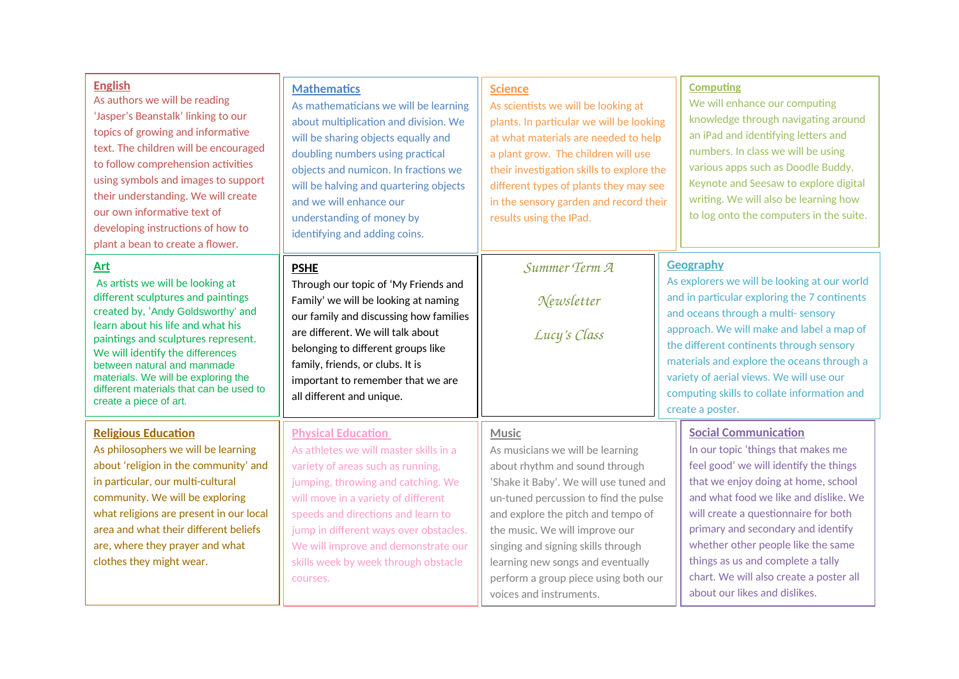| <b>English</b><br>As authors we will be reading<br>'Jasper's Beanstalk' linking to our<br>topics of growing and informative<br>text. The children will be encouraged<br>to follow comprehension activities<br>using symbols and images to support<br>their understanding. We will create<br>our own informative text of<br>developing instructions of how to<br>plant a bean to create a flower. | <b>Mathematics</b><br>As mathematicians we will be learning<br>about multiplication and division. We<br>will be sharing objects equally and<br>doubling numbers using practical<br>objects and numicon. In fractions we<br>will be halving and quartering objects<br>and we will enhance our<br>understanding of money by<br>identifying and adding coins.       | <b>Science</b><br>As scientists we will be looking at<br>plants. In particular we will be looking<br>at what materials are needed to help<br>a plant grow. The children will use<br>their investigation skills to explore the<br>different types of plants they may see<br>in the sensory garden and record their<br>results using the IPad.                                                | <b>Computing</b><br>We will enhance our computing<br>knowledge through navigating around<br>an iPad and identifying letters and<br>numbers. In class we will be using<br>various apps such as Doodle Buddy,<br>Keynote and Seesaw to explore digital<br>writing. We will also be learning how<br>to log onto the computers in the suite.                                                                                         |
|--------------------------------------------------------------------------------------------------------------------------------------------------------------------------------------------------------------------------------------------------------------------------------------------------------------------------------------------------------------------------------------------------|------------------------------------------------------------------------------------------------------------------------------------------------------------------------------------------------------------------------------------------------------------------------------------------------------------------------------------------------------------------|---------------------------------------------------------------------------------------------------------------------------------------------------------------------------------------------------------------------------------------------------------------------------------------------------------------------------------------------------------------------------------------------|----------------------------------------------------------------------------------------------------------------------------------------------------------------------------------------------------------------------------------------------------------------------------------------------------------------------------------------------------------------------------------------------------------------------------------|
| <b>Art</b><br>As artists we will be looking at<br>different sculptures and paintings<br>created by, 'Andy Goldsworthy' and<br>learn about his life and what his<br>paintings and sculptures represent.<br>We will identify the differences<br>between natural and manmade<br>materials. We will be exploring the<br>different materials that can be used to<br>create a piece of art.            | <b>PSHE</b><br>Through our topic of 'My Friends and<br>Family' we will be looking at naming<br>our family and discussing how families<br>are different. We will talk about<br>belonging to different groups like<br>family, friends, or clubs. It is<br>important to remember that we are<br>all different and unique.                                           | Summer Term A<br>Newsletter<br>Lucy's Class                                                                                                                                                                                                                                                                                                                                                 | <b>Geography</b><br>As explorers we will be looking at our world<br>and in particular exploring the 7 continents<br>and oceans through a multi- sensory<br>approach. We will make and label a map of<br>the different continents through sensory<br>materials and explore the oceans through a<br>variety of aerial views. We will use our<br>computing skills to collate information and<br>create a poster.                    |
| <b>Religious Education</b><br>As philosophers we will be learning<br>about 'religion in the community' and<br>in particular, our multi-cultural<br>community. We will be exploring<br>what religions are present in our local<br>area and what their different beliefs<br>are, where they prayer and what<br>clothes they might wear.                                                            | <b>Physical Education</b><br>As athletes we will master skills in a<br>variety of areas such as running,<br>jumping, throwing and catching. We<br>will move in a variety of different<br>speeds and directions and learn to<br>jump in different ways over obstacles.<br>We will improve and demonstrate our<br>skills week by week through obstacle<br>courses. | <b>Music</b><br>As musicians we will be learning<br>about rhythm and sound through<br>'Shake it Baby'. We will use tuned and<br>un-tuned percussion to find the pulse<br>and explore the pitch and tempo of<br>the music. We will improve our<br>singing and signing skills through<br>learning new songs and eventually<br>perform a group piece using both our<br>voices and instruments. | <b>Social Communication</b><br>In our topic 'things that makes me<br>feel good' we will identify the things<br>that we enjoy doing at home, school<br>and what food we like and dislike. We<br>will create a questionnaire for both<br>primary and secondary and identify<br>whether other people like the same<br>things as us and complete a tally<br>chart. We will also create a poster all<br>about our likes and dislikes. |